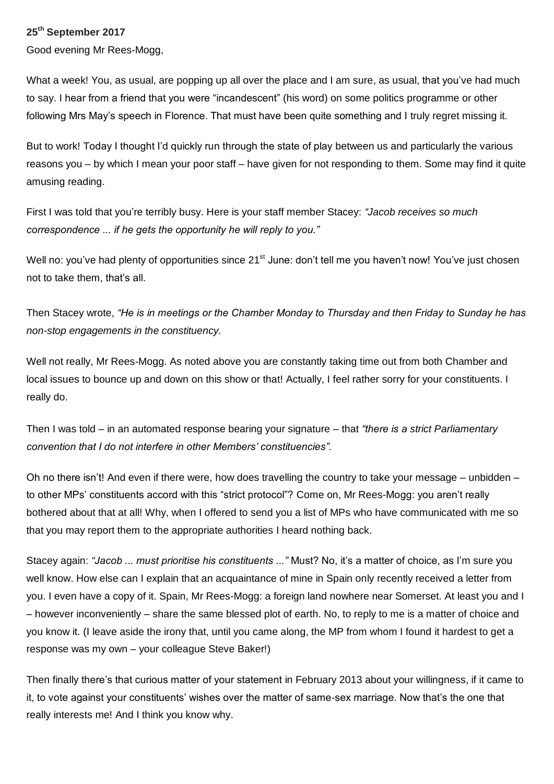## **25 th September 2017**

Good evening Mr Rees-Mogg,

What a week! You, as usual, are popping up all over the place and I am sure, as usual, that you've had much to say. I hear from a friend that you were "incandescent" (his word) on some politics programme or other following Mrs May's speech in Florence. That must have been quite something and I truly regret missing it.

But to work! Today I thought I'd quickly run through the state of play between us and particularly the various reasons you – by which I mean your poor staff – have given for not responding to them. Some may find it quite amusing reading.

First I was told that you're terribly busy. Here is your staff member Stacey: *"Jacob receives so much correspondence ... if he gets the opportunity he will reply to you."*

Well no: you've had plenty of opportunities since 21<sup>st</sup> June: don't tell me you haven't now! You've just chosen not to take them, that's all.

Then Stacey wrote, *"He is in meetings or the Chamber Monday to Thursday and then Friday to Sunday he has non-stop engagements in the constituency.*

Well not really, Mr Rees-Mogg. As noted above you are constantly taking time out from both Chamber and local issues to bounce up and down on this show or that! Actually, I feel rather sorry for your constituents. I really do.

Then I was told – in an automated response bearing your signature – that *"there is a strict Parliamentary convention that I do not interfere in other Members' constituencies".*

Oh no there isn't! And even if there were, how does travelling the country to take your message – unbidden – to other MPs' constituents accord with this "strict protocol"? Come on, Mr Rees-Mogg: you aren't really bothered about that at all! Why, when I offered to send you a list of MPs who have communicated with me so that you may report them to the appropriate authorities I heard nothing back.

Stacey again: *"Jacob ... must prioritise his constituents ..."* Must? No, it's a matter of choice, as I'm sure you well know. How else can I explain that an acquaintance of mine in Spain only recently received a letter from you. I even have a copy of it. Spain, Mr Rees-Mogg: a foreign land nowhere near Somerset. At least you and I – however inconveniently – share the same blessed plot of earth. No, to reply to me is a matter of choice and you know it. (I leave aside the irony that, until you came along, the MP from whom I found it hardest to get a response was my own – your colleague Steve Baker!)

Then finally there's that curious matter of your statement in February 2013 about your willingness, if it came to it, to vote against your constituents' wishes over the matter of same-sex marriage. Now that's the one that really interests me! And I think you know why.